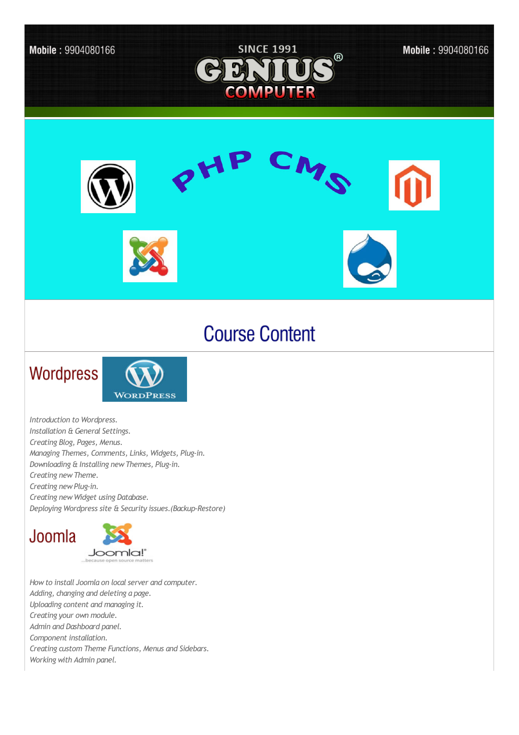

## **Course Content**

## Wordpress



*Introduction to Wordpress. Installation & General Settings. Creating Blog, Pages, Menus. Managing Themes, Comments, Links, Widgets, Plug-in. Downloading & Installing newThemes, Plug-in. Creating newTheme. Creating newPlug-in. Creating newWidget using Database. Deploying Wordpress site & Security issues.(Backup-Restore)*





*How to install Joomla on local server and computer. Adding,changing and deleting a page. Uploading content and managing it. Creating your own module. Admin and Dashboard panel. Component installation. Creating custom Theme Functions, Menus and Sidebars. Working with Admin panel.*